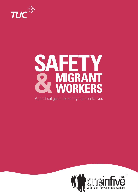

# **&**<br><u>A practical</u> **SAFETY MIGRANT WORKERS**

A practical guide for safety representatives

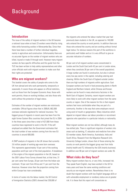# Background

# **Introduction**

The issue of the safety of migrant workers in the UK became a national issue when at least 23 workers were killed by rising tides while harvesting cockles in Morecambe Bay. Since then there have been a number of further individual tragedies, mainly in agriculture and construction. Unfortunately there are no accurate figures on the number of migrant workers who are killed, injured or made ill through work. However many migrant workers do face specific difficulties and this guide from the TUC has been written to help safety representatives and other union officials work with migrant workers to make sure that their rights are protected.

## **Who are migrant workers?**

This booklet covers the safety of people who come to the UK from abroad and who work permanently, temporarily or seasonally. It covers those who appear on official statistics, such as those from the European Economic Area; those with work permits; those on working holidays; and also those who work without the protection of legal status.

Estimates of the number of migrant workers are notoriously unreliable. Official figures show that in 2005/6, 662,000 overseas nationals registered for national insurance. The biggest group of migrants in recent years has been from the eight former Eastern Bloc countries that joined the EU in 2004. In the three years since then a total of 427,000 from these countries have registered to work in the UK. If the selfemployed are added then the Government estimates that the total number of new workers coming from the new EU countries is around 600,000.

A DWP analysis of migrants in the UK shows that currently 3.6 million people of working age were born overseas. This represents approximately 10 per cent of the working population and 8 per cent of the total population. A breakdown of the origins of the migrant population in the UK, based on the 2001 Labour Force Survey showed that, at that time, 31 per cent came from Europe, 20 per cent from the Indian subcontinent, 19 per cent from Africa and 11 per cent from the Americas. However since then the proportion coming from within Europe has risen considerably.

In terms of routes into the labour market, the UK Control of Immigration Statistics (2001) showed that 339,000 of

the migrants who entered the labour market that year had previously been students in the UK, as opposed to 140,000 who entered the country on work permits. In addition there are those who entered the country and are working without formal legal status. For obvious reasons this part of the workforce is particularly well hidden and so it is very difficult to give an accurate indication of numbers.

60 per cent of all migrant workers were concentrated in London and the South East (with 42 per cent in London alone, where they constitute 26 per cent of the overall population). A large number are found in construction, but also in almost every low pay sector in the capital, including catering and cleaning. Within the South East of England outside London there are high numbers of migrants within agriculture. East European workers are found in food processing plants in North England and Northern Ireland, while Chinese and Korean workers can be found in many electronics factories in the North East of England. Certainly, recent migrant workers are more likely to work with other migrant workers from the same country or region. One of the reasons for this is that migrant workers feel more comfortable when they are part of a community. Another is the way that some employers recruit using word of mouth or gangmasters. Many industries which depend on migrant labour use labour providers or recruitment agencies who specialise in a particular industry or nationality.

Most migrant workers are not low skilled, although many do low-skilled jobs. There is significant migration of workers into areas such as banking, IT, education and medicine from other EU member states, North America, Australasia, India and South Africa. Research from the Migration Research Unit, University College London, shows that of those entering the country on work permits the biggest group was from India (mainly health and IT), followed by the USA (mainly business). In addition over 80 per cent of migrant workers are under 35.

# **What risks do they face?**

Many migrant workers face no, or very little, increased risk. They speak fluent English, may have worked in the UK for many years and have the same working conditions and security as non-migrant workers. Nevertheless there is no doubt that migrant workers with low English language skills or with vulnerable employment or residency status are at greater risk. It is these that this report will concentrate on.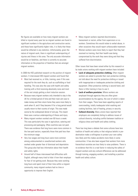No figures are available on how many migrant workers are killed or injured every year but as migrant workers are found in significant numbers in the agriculture and construction sector, and these have significantly higher risks, it is likely that these would be reflected in any statistics. Unfortunately, given the nature of migrant work, there is significant underreporting of injuries and illness in this area. The only accurate information would be on fatalities, and there is currently no accurate information on the proportion of fatalities that are amongst migrant workers.

In 2006 the HSE published research on the position of migrant workers. It interviewed 200 migrant workers and found that:

- Most had received no, or little, training, even if this was required for the work they do, such as scaffolding or food handling. This was also the case with health and safety training with a third receiving absolutely none and most of the rest simply getting a short induction session.
- Because many migrant workers only intended to stay in the UK for a limited period of time and their main aim was to make money and then return home they were more likely to work when ill, and if they became ill for a long period would usually return to their country of origin. This was made worse by the widespread denial of sick pay. This meant there was a serious underreporting of illness and injury.
- Many migrant workers worked over 60 hours a week. This was particularly the case in agriculture, catering and processing and packaging. Often overtime was not paid. There was evidence that long hours were more common in the low-paid sectors, especially those that paid less than the minimum wage.
- Very low wages and long hours were more common among undocumented or unauthorised workers who worked under greater fear of dismissal and deportation. This group also had less information about their health and safety rights.
- Around half of these interviewed had difficulties with English, although many tried to hide it from their employer for fear of not getting work. Because they were working long hours and spent most of their time within a migrant community, many migrant workers had no time or opportunity to improve their English.
- Many migrant workers reported discrimination, harassment or racism, either from supervisors or coworkers. Sometimes this would relate to verbal abuse, in other occasions they would report unfavourable treatment.
- Women workers were more likely to report that they had received no training, that their health was being compromised by the work they were doing and that they suffered from discrimination.

Other issues that have been raised either by this research or by trade unions working with migrant workers have included:

- **Lack of adequate protective clothing.** Often migrant workers are asked to provide their own protective clothing, not told about the need for protective clothing or issued with inappropriate or inadequate protective clothing and equipment. Often protective clothing is second hand, and there is little training in how to use it.
- **Lack of welfare provision.** Where workers are employed through agencies they are often given accommodation by the agency, the cost of which is taken from their wages. There have been appalling reports of overcrowding, totally inadequate toilet washing and cooking facilities, lack of heating, privacy or security.
- **Cultural diversity.** Many unions have reported that employers are completely failing to address issues of cultural diversity, including conflict between tradition or religious dress and health and safety clothing.

There has long been a debate that some cultures have less tradition of health and safety or that religious beliefs in predestination make a willingness to protect your own safety less likely and this makes accidents more likely in some communities. It has also been argued that workers from more hierarchical societies are less likely to raise problems. There is no evidence that this is a real factor in reducing the safety of migrant workers and any cultural differences can be addressed through training, engaging workers, and installing a positive health and safety culture.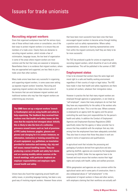# **Recruiting migrant workers**

Given that organised workplaces have half the serious injury rate of those without trade unions or consultation, one of the best ways to protect migrant workers is to ensure they are members of a trade union. Clearly there are obstacles to recruiting migrant workers, which include a fear of victimisation, language issues, the low level of organisation in some of the areas where migrant workers are most common and the fact that many are seasonal or temporary. Nevertheless there is no evidence that migrant workers, where they are approached and supported, are less likely to join a trade union than other workers.

Many trade unions have been very successful in organising and supporting migrant workers, in some cases even setting up separate migrant workers' branches. Recruiting and organising migrant workers also helps remove some of the tensions that can exist between migrant workers and traditional workers who may fear that migrant workers are undermining pay structures.

**The GMB have set up a migrant workers' branch in Southampton and are using health and safety to help organising. The feedback they received from workers was that health and safety issues are the ones that the majority feel strongest about. Initially this is likely to take the form of a collective grievance around issues such as: lack of provision of PPE (safety footwear, goggles, glasses and gloves) and charging for it in certain instances; no information, instruction or training around the use of work equipment, e.g. guillotines; no translation provided for instruction and training; slip, trip and fall issues; manual handling issues. They are producing a series of health and safety fact sheets and are running monthly advice sessions at the branch meetings, with particular emphasis on employer responsibilities and employee rights around health and safety.**

Unions have also found that organising around health and safety issues, or providing language training, has been a very good way of involving migrant workers. However those unions

that have been most successful have been ones that have encouraged migrant workers to become active through holding a position such as safety representative. Where safety representatives, stewards or learning representatives come from within the migrant community itself they are likely to be far more successful.

The TUC has produced a guide for unions on organising and recruiting migrant workers, which should be of use to all safety representatives. This will be published in the summer of 2007.

#### **Employment status**

It has to be stressed that workers have the same legal and moral right to a safe and healthy working environment regardless of their country of origin or legal status. The HSE have made it clear that health and safety regulations are there to protect all workers, whatever their immigration status.

However in practice the fact that many migrant workers are employed through agencies or gangmasters, or are listed as "self-employed", means that many employers do not feel that they have any responsibility for the safety of the workers who actually work for them. This is not the case. Where someone is employed by an agency both the agency and the person controlling the work have joint responsibilities for the person's health and safety. In addition the Conduct of Employment Agencies and Employment Business Regulations (2003) specifically states that the agency or labour provider has to ensure that they establish with the employer that any risks arising from the employment have been adequately controlled. They also have to ensure that those they place in work are suited in terms of experience and qualifications.

In agricultural work that includes the processing and packaging of products derived from agriculture and also gathering shellfish, agencies are covered by the Gangmasters Licensing Act (2004). Under this law agencies have to be licensed and must ensure that workers receive their legal rights and comply with health, safety and welfare provision.

While gangmasters and agencies are very common within the agricultural sector and in some parts of construction, there is also widespread abuse of "self-employment" in the employment of migrant workers in these and other sectors, with employers claiming that their workforce are actually self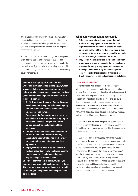employed rather than directly employed. However safety responsibilities cannot be contracted out and this applies equally to those who are self-employed. Responsibility for providing a safe place to work remains with the employer or contracting organisation.

There should be measures to discourage the development of an informal sector, characterised by dubious selfemployment, persistent temporary contracts, hiring by the day, and so on. Agencies who employ solely workers with bogus self-employed status should be banned from winning government contacts.

**In terms of stronger rights at work, the TUC welcomed the Gangmasters' Licensing Act, which was passed after strong pressure from trade unions, as a key measure to assist migrant workers (and others) to resist exploitation. But much more is needed, such as:**

- **An EU Directive on Temporary Agency Workers must be adopted. Comparators between agency staff and permanent employees need to be enforceable from day one.**
- **The scope of the Gangmasters Act needs to be extended to provide a broader licensing regime across the economy – not just agriculture, horticulture, gathering shellfish and food processing.**
- **There needs to be effective implementation in UK law of the Posted Workers Directive, especially to ensure that posted workers' pay etc is determined by existing national level agreements.**
- **Employment rights need to be extended to all workers (rather than solely employees as is the case in some laws) and tightened up with respect to bogus self-employment.**

**Of course, improvements in the law will not, on their own, improve conditions for migrant workers. The laws must be enforced, and employers should be encouraged to implement them in spirit as well as to the letter.**

#### **What safety representatives can do**

- **Safety representatives should ensure that both workers and employers are aware of the legal requirement of the employer to ensure the health, safety and welfare of the worker regardless of their employment status. In some cases equality and antidiscrimination legislation will also apply.**
- **They should make it clear that the Health and Safety at Work Act provides an absolute duty on employers to ensure the safety of employees and anyone else who might be harmed. They are not exempt from legal responsibility just because a worker is not directly employed, or has no legal employment status.**

#### **Risk assessment**

The key to dealing with most issues around the health and safety of migrant workers is exactly the same as for other workers. That is to ensure that there is a full and adequate risk assessment. Few migrant workers report knowing of a risk assessment having been done for their job and it is quite clear that, in many industries where migrant workers are concentrated, risk assessments are rare. Even where a risk assessment has been done, it is unlikely that it has covered many of the issues that might be specific to migrant workers, such as cultural differences or language problems.

The process of drawing up an adequate risk assessment will, in itself, ensure that the mind of the employer is focused on the real issues necessary to create a positive heath and safety environment within the workplace.

The lack of any tradition of risk assessment or safety policies within many of the areas where migrant workers are most likely to be found may mean the safety representatives will have to tell the employer where they can go for advice. For most employers the HSC guidance "Five steps to risk assessment" is the best starting point, although the risk assessment should also specifically address the presence of migrant workers, in particular issues around previous work experience, perceptions of risks, language and literary skills, the applicability of current training and safety materials, and whether training methods need to be tailored to different groups of workers.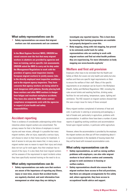#### **What safety representatives can do**

• **Safety representatives can ensure that migrant workers see risk assessments and can comment.**

**In the Meat Hygiene Service( MHS), UNISON has raised concern over the fact that many migrant workers in abattoirs are provided by agencies and have no training, and no specific risk assessments. UNISON asked the MHS to carry out its duty under the Management Regulations to work with the providers of agency meat inspectors (mainly European migrant workers) to jointly assess risks to the directly employed meat inspection workforce and to the migrant agency inspectors. They have concerns that agency workers are being asked to work dangerous shift patterns, thereby placing both these workers and other MHS workers in danger from fatigue and resultant workplace accidents. They have also asked the MHS what contract compliance arrangements exist with the agencies in respect of joint health and safety responsibilities.**

# **Accident reporting**

There is evidence of considerable underreporting within those industries where migrant workers are concentrated. The primary reason for that is the failure of employers to record injuries and near misses, although it is possible that many migrant workers, after an injury, especially a serious injury, will choose to return to their home country for treatment. A lack of access to sick pay also means that, in many cases, a migrant worker sees no reason to report their injury and simply does not turn up for work again; thus their employer has no record of the injury. It is also likely that most migrant workers will be unaware of the requirement to report incidents unless they have specifically received training on the need to do so.

#### **What safety representatives can do**

• **Safety representatives can make sure that workers are aware of the importance of reporting any illness, injury or near-miss, ensure that accident books are regularly checked, and seek information from management on what steps they are taking to**

**investigate any reported injuries. This is best done by ensuring that training programmes are available and properly designed to cover this.**

• **Body mapping, along with risk mapping, has proved to be extremely useful tools for safety representatives who are seeking to work with migrant workers and find out what health problems they are experiencing. For more information on body mapping see www.hazards.org/tools/**

# **Welfare and first aid provision**

Employers often have to be reminded that the Health and Safety at Work Act covers not only health and safety but also welfare and there are specific legal requirements on them to ensure the welfare of their staff. Many of the specific requirements on an employer can be found in the Workplace (Health, Safety and Welfare) Regulations 1992, including the rules around toilets and washing facilities, drinking water, facilities for rest and eating, temperature, space, lighting and ventilation. The HSE research on migrant workers showed that this was a major issue for many of those surveyed.

Many migrant workers complained of extremes of heat and cold, in particular in catering or processing and packaging, a lack of breaks and, particularly in agriculture, problems with accommodation. In addition there have been a number of press reports of appalling working conditions and accommodation forced upon migrant workers, in particular within agriculture.

However, where the accommodation is provided by the employer, the migrant workers are often put off from complaining about it in case improvements in the standards of housing means that they will be faced with increased accommodation costs.

#### **What safety representatives can do**

- **Safety representatives, as well as raising welfare problems with employers, can also refer migrant workers to local advice centres and community groups to seek assistance in housing or welfare matters.**
- **Safety representatives should also ensure that migrant workers have access to first aid provisions, that there are adequate arrangements for fire safety and, where appropriate, they have access to occupational health advice and support.**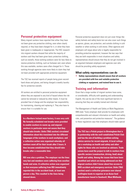# **Personal protective equipment**

Many migrant workers have reported that either they have not been given any protective clothing, even when clearly required, or they have been charged for it, or what they have been given is inadequate or inappropriate. The HSC research into migrant workers showed that while the majority of workers said they had been given basic protective clothing, such as overalls, those working outdoors were far less likely to receive protective clothing, such as footwear and, even where this was available, workers were often charged for it. Those working through agencies were more likely to claim they had not been provided with appropriate protective equipment.

The TUC has received reports of people being given secondhand shoes and gloves, and being charged a weekly laundry fee for protective overalls.

All workers are entitled to personal protective equipment where they are exposed to any kind of hazard where the risk cannot be removed or reduced by other means. It must be provided free of charge and the employer has responsibility for maintaining, cleaning and replacing it. They also have to ensure that it is suitable for use.

**In a Northern Ireland meat factory, it was very cold. No formally scheduled rest breaks were provided to enable workers to warm up, and migrant workers in particular were not aware that they should take breaks. Unite (T&G section) circulated information about this translated into the different languages of the workers in each workplace, and a collective action was organised whereby all workers went off for their break after 3 hours. It then became established that they should take breaks after a reasonable time.**

**RSI was also a problem. The employer ran the lines very fast and members were suffering from swollen hands and arms. A collective action was organised so that everyone suffering from RSI immediately reported this in the accident book, at least one person a day. This resulted in the lines being slowed down.**

Personal protective equipment does not just cover things like safety helmets and safety boots but can also cover such things as aprons, gloves, ear protection, and outside clothing in cold weather or when working in cold stores. Often agencies and employers will argue about who is legally responsible for providing protective equipment, however the law says that they are both responsible in most situations and safety representatives should ensure that they do not get involved in an argument between employers and agencies over who should be providing safety equipment.

#### **What safety representatives can do**

• **Safety representatives should ensure that all workers are provided with free and suitable protective clothing or equipment, and trained how to use it.**

# **Training and information**

Given that a large number of migrant workers have some, or considerable, difficulty with speaking and understanding English, this can be one of the most significant barriers to ensuring that they are suitably trained and informed.

The Management of Health and Safety at Work Regulations l999 state "Every employer shall provide his employees with comprehensible and relevant information on health and safety risks, and preventive and protective measures". The guidance to these regulations says that employers should make special

**The TUC has a Polish project in Birmingham that is in partnership with the well-established Polish Club and has the aim of building a problem-solving advice service for recent migrants. A local college ran a workshop on health and safety and other rights for those who are involved as advisers. Trade unions have used the project to talk to workers from specific sectors (construction, driving, food) about health and safety. Among the issues that have been identified and which are being addressed are that migrant workers didn't know about free access to NHS accident and emergency services. Unite (T&G section) used a collective grievance over shared wellington boots to organise at an Asian food manufacturer based in Sandwell, West Midlands.**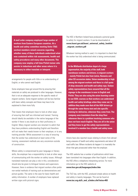**A mail order company employed large number of workers from Eastern European countries. At a health and safety committee meeting Unite (T&G section) members raised concerns regarding whether many of these individuals understood what was contained within risk assessments, health and safety procedures and many other documents. The company now employ a full time Polish trainer who assists in inductions and other areas where it is necessary to either translate or interpret.**

arrangements for people with little or no understanding of English, or who cannot read English.

Some employers have got around this by ensuring that materials on safety are produced in other languages. However, that is not an adequate response to the specific needs of migrant workers. Some migrant workers will be less familiar with basic safety concepts and these may have to be explained to them more fully.

That means that employers have to look at other ways of ensuring that staff are informed and trained. Training should ideally be available in the native language of the worker if there is any doubt as to their proficiency in English. Many migrant workers are reluctant to admit that they have problems understanding English and therefore will not make their needs known to their employer, or to any training provider. While assessment is a way of ensuring that the worker has understood at least some of the training, assessment methods are very uncommon outside of construction.

Where safety is compromised by poor language or literary skills, the employer has a responsibility to look at other ways of communicating with the worker on safety issues. Although translated materials can play a role in this, consideration should also be given to bilingual trainers and supervisors. However, there is evidence that migrant workers often prefer non-verbal methods of training such as demonstrations and picture guides. The same is the case for basic health and safety information. A number of employers have replaced written signs with pictorial signs.

The HSE in Northern Ireland have produced a pictorial guide to safety for migrant workers. It can be downloaded at **[www.hseni.gov.uk/hseni\\_universal\\_safety\\_booklet](www.hseni.gov.uk) \_migrant\_workers.pdf**

Whatever training method is used, it is important to check that the worker has fully understood what is being communicated.

**In the Midlands distribution depot of a large supermarket, the majority of the staff, both warehouse workers and drivers, is migrant workers – mainly Polish but also from Latvia, Romania and other EU accession states. Union membership is high among the migrant workers and there is a full quota of shop stewards and health and safety reps. Usdaw safety representatives have ensured that all the signage in the warehouse is now in English and Polish. They are also using the union learning centre to run ESOL courses so that workers can understand health and safety briefings when they come out. In addition they made sure that all the HGV drivers go through the same theory test and site-specific training for deliveries, wherever they come from. The company uses translators from the shop floor whenever there is a problem involving someone who does not have much English. They are all in the union and they know to get the safety representatives involved if a member has a health and safety issue.**

Unions have also reported issues relating to drivers from abroad being unaware of health and safety requirements and about UK road traffic law. Where incidents do happen it is invariably the driver that gets prosecuted rather than the employer.

The HSE website has a number of publications which have been translated into languages other than English. In addition, the HSE offers a telephone interpreting service. For more information go to the HSE website at **www.hse.gov.uk/languages/index.htm**

The TUC has, with the HSC, produced simple advice on health and safety in twenty languages. This can be found at **www.tuc.org.uk/h\_and\_s/index.cfm?mins=403**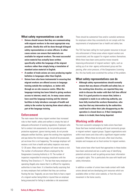#### **What safety representatives can do**

- **Unions should ensure that they are communicating with migrant workers in the most appropriate way possible. Ideally this will be done through bilingual safety representatives or union officers. In other cases unions can ensure that materials are available for migrant workers. The most successful union material has actually been written specifically within the language of the migrant workers rather than simply being a translation of standard union material in English.**
- **A number of trade unions are now producing regular bulletins in languages other than English.**
- **Unions have also been instrumental in ensuring that migrant workers are offered access to language training outside the workplace, or, better still, through an on-site resource centre. Often the language training has been linked to giving workers access to internet, email, etc. In many cases unions have used the language training and the internet facilities to help introduce concepts of health and safety to the worker by tutoring them about safety as part of the language training.**

#### **Enforcement**

The main reason that many migrant workers face increased risks to their health, safety and welfare is simply the lack of adequate enforcement of existing regulations. Employers who fail to conduct risk assessments, do not provide personal protective equipment, ignore training needs, do not provide adequate welfare facilities, ignore the working time regulations and pay below the minimum wage, should all be prosecuted, yet we know this is not happening. The average employer will receive a visit from a health and safety inspector once every 12–20 years. Many small employers will never receive a visit. The number of enforcement officers employed by the Gangmasters Licensing Authority is 10. The number of inspectors responsible for ensuring compliance with the Working Time Directive is 11. The fact that many employers are operating illegally also means that it is difficult for regulatory authorities to trace them. It is therefore hardly surprising that so many employers feel confident that they can continue flouting the law. Tragically, we are more likely to hear a report of a migrant worker being killed or injured than an employer being prosecuted for failing to undertake a risk assessment.

There should be substantial fines and/or custodial sentences for employers when they consistently do not comply with the requirements of employment law or health and safety law.

The TUC has been calling for much greater resources to be put into enforcement of those areas where migrant workers are concentrated, and the support for migrant workers themselves. While there have been some positive moves towards improving enforcement of migrant workers' rights, such as setting up of an inter- agency enforcement group and the passing, after union pressure, of the Gangmasters Licensing Act, this has hardly even scratched the surface of the problem.

#### **What safety representatives can do**

• **Although safety representatives should normally ensure that any abuses of health and safety law, or the working time directive, are reported they may wish to discuss the matter with their full time official first. It is good practice to ensure that, before a complaint is made to an enforcing authority, you have fully involved the workers themselves, who may fear that any intervention by the authorities could lead to either their jobs disappearing as the operation is closed down or, if their immigration status is in doubt, them being deported.**

#### **Working with others**

The most successful campaigns by trade unions have been those that have involved working with local community groups or migrant workers' support groups. Support organisations exist within most towns and cities with a significant migrant worker population. Where these do not exist, often local churches, temples and mosques act as focal centres for migrant workers.

Trade unions have often found that approaches to these bodies have been welcomed and are a useful way of identifying potential activists as well as getting across basic information on people's rights. This is particularly the case with health and safety information.

In addition a number of unions have made contact with trade unions abroad and are developing joint resources which are available either on their union website, or from the union movement in the home country.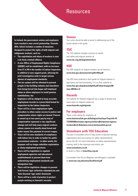# Resources

**In Ireland, the government, unions and employers have reached a new social partnership, Towards 2016, which includes a number of measures designed to protect the rights of both migrant and indigenous workers, such as:**

- **The exploitation and abuse of workers is now a de facto criminal offence.**
- **A new Office of Employment Rights Compliance (ODERC) will be established, with an increase from 21 to 90 in the number of Labour Inspectors in addition to new support posts, allowing for joint investigation units to target serious abuses of employment standards.**
- **The tax system will be reformed to prevent people in the building industry and elsewhere from being forced into bogus self employed status to allow employers to avoid pension contributions, etc.**
- **Employers will be obliged to keep accurate employment records in a prescribed format for inspection by the Labour Inspectors.**
- **There will be a new employment rights procedure to allow easier access to justice and compensation where rights are denied. Powers to award up to two years pay by way of compensation represent a very significant change and will help many migrant workers whose causes are usually about bread and butter issues like payment of correct wages.**
- **There will be new standards of compliance with labour law in order to tender for public procurement contracts – in other words, the taxpayer will no longer subsidise exploitation or sharp employment practices.**
- **There will be legislation to regulate employment agencies and educational establishments to prevent them from undermining employment standards and immigration law.**
- **There will be legislative changes to prevent Irish Ferries' type collective redundancies and 'Gate Gourmet' type unfair dismissals**
- **There will be a code of practice to protect people working as domestic servants.**

#### **Unions**

Your union should be able to assist in addressing any of the issues raised in this guide.

## **TUC**

The TUC website includes a section on health and safety and migrant workers at: **www.tuc.org.uk/migrantworkers**

## **HSE**

The HSE research on migrant workers can be found at: **www.hse.gov.uk/research/rrpdf/rr502.pdf**

The HSE have produced a short guide for migrant workers in agriculture and food processing. It is on their website at: **www.hse.gov.uk/pubns/indg410.pdf?ebul=hsegen/08 may-2007&cr=4**

## **Hazards**

The website for Hazards magazine has a range of articles and news items on migrant workers at **www.hazards.org/migrants**

# **For employers**

There is also advice for employers at:

**[www.businesslink.gov.uk/bdotg/action/layer?topicId=10](www.businesslink.gov.uk/bdotg/action/layer?topicId=1077243939&furlname=agencyworkers&furlparam=agencyworkers&ref=&domain=www.businesslink.gov.uk) 77243939&furlname=agencyworkers&furlparam=agency workers&ref=&domain=www.businesslink.gov.uk**

# **Unionlearn with TUC Education**

This part of unionlearn aims to help unions to become learning organisations and runs courses for safety representatives across the UK. For more information on safety representatives training, both in the classroom and online, see

#### **www.unionlearn.co.uk**

or email Liz Rees at **lrees@tuc.org.uk**

A unionlearn fact file on Migration and Refugees is available at **www.tuc.org.uk/extras/factfileref.pdf**